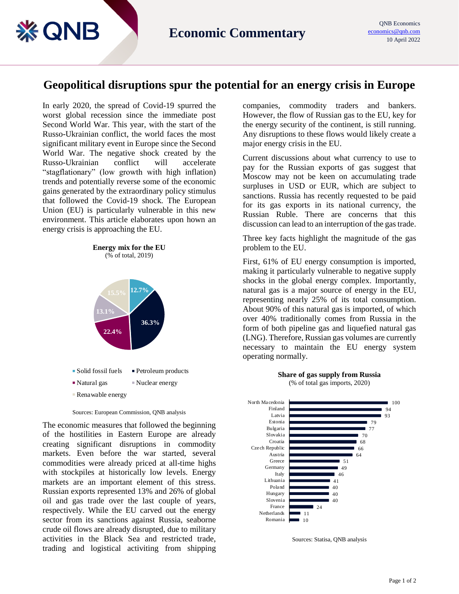## **Geopolitical disruptions spur the potential for an energy crisis in Europe**

In early 2020, the spread of Covid-19 spurred the worst global recession since the immediate post Second World War. This year, with the start of the Russo-Ukrainian conflict, the world faces the most significant military event in Europe since the Second World War. The negative shock created by the Russo-Ukrainian conflict will accelerate "stagflationary" (low growth with high inflation) trends and potentially reverse some of the economic gains generated by the extraordinary policy stimulus that followed the Covid-19 shock. The European Union (EU) is particularly vulnerable in this new environment. This article elaborates upon hown an energy crisis is approaching the EU.

**& QNB** 

**Energy mix for the EU** (% of total, 2019)



Sources: European Commission, QNB analysis

The economic measures that followed the beginning of the hostilities in Eastern Europe are already creating significant disruptions in commodity markets. Even before the war started, several commodities were already priced at all-time highs with stockpiles at historically low levels. Energy markets are an important element of this stress. Russian exports represented 13% and 26% of global oil and gas trade over the last couple of years, respectively. While the EU carved out the energy sector from its sanctions against Russia, seaborne crude oil flows are already disrupted, due to military activities in the Black Sea and restricted trade, trading and logistical activiting from shipping companies, commodity traders and bankers. However, the flow of Russian gas to the EU, key for the energy security of the continent, is still running. Any disruptions to these flows would likely create a major energy crisis in the EU.

Current discussions about what currency to use to pay for the Russian exports of gas suggest that Moscow may not be keen on accumulating trade surpluses in USD or EUR, which are subject to sanctions. Russia has recently requested to be paid for its gas exports in its national currency, the Russian Ruble. There are concerns that this discussion can lead to an interruption of the gas trade.

Three key facts highlight the magnitude of the gas problem to the EU.

First, 61% of EU energy consumption is imported, making it particularly vulnerable to negative supply shocks in the global energy complex. Importantly, natural gas is a major source of energy in the EU, representing nearly 25% of its total consumption. About 90% of this natural gas is imported, of which over 40% traditionally comes from Russia in the form of both pipeline gas and liquefied natural gas (LNG). Therefore, Russian gas volumes are currently necessary to maintain the EU energy system operating normally.



Sources: Statisa, QNB analysis